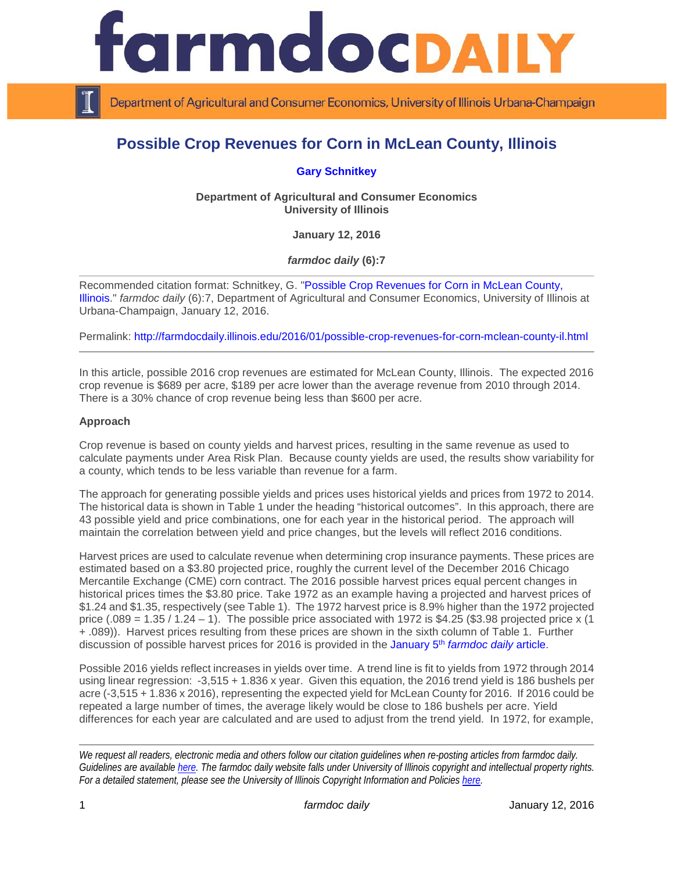

Department of Agricultural and Consumer Economics, University of Illinois Urbana-Champaign

# **Possible Crop Revenues for Corn in McLean County, Illinois**

**[Gary Schnitkey](http://farmdoc.illinois.edu/schnitkey)**

**Department of Agricultural and Consumer Economics University of Illinois**

**January 12, 2016**

*farmdoc daily* **(6):7**

Recommended citation format: Schnitkey, G. ["Possible Crop Revenues for Corn in McLean County,](http://farmdocdaily.illinois.edu/2016/01/possible-crop-revenues-for-corn-mclean-county-il.html)  [Illinois.](http://farmdocdaily.illinois.edu/2016/01/possible-crop-revenues-for-corn-mclean-county-il.html)" *farmdoc daily* (6):7, Department of Agricultural and Consumer Economics, University of Illinois at Urbana-Champaign, January 12, 2016.

Permalink: <http://farmdocdaily.illinois.edu/2016/01/possible-crop-revenues-for-corn-mclean-county-il.html>

In this article, possible 2016 crop revenues are estimated for McLean County, Illinois. The expected 2016 crop revenue is \$689 per acre, \$189 per acre lower than the average revenue from 2010 through 2014. There is a 30% chance of crop revenue being less than \$600 per acre.

#### **Approach**

Crop revenue is based on county yields and harvest prices, resulting in the same revenue as used to calculate payments under Area Risk Plan. Because county yields are used, the results show variability for a county, which tends to be less variable than revenue for a farm.

The approach for generating possible yields and prices uses historical yields and prices from 1972 to 2014. The historical data is shown in Table 1 under the heading "historical outcomes". In this approach, there are 43 possible yield and price combinations, one for each year in the historical period. The approach will maintain the correlation between yield and price changes, but the levels will reflect 2016 conditions.

Harvest prices are used to calculate revenue when determining crop insurance payments. These prices are estimated based on a \$3.80 projected price, roughly the current level of the December 2016 Chicago Mercantile Exchange (CME) corn contract. The 2016 possible harvest prices equal percent changes in historical prices times the \$3.80 price. Take 1972 as an example having a projected and harvest prices of \$1.24 and \$1.35, respectively (see Table 1). The 1972 harvest price is 8.9% higher than the 1972 projected price  $(.089 = 1.35 / 1.24 - 1)$ . The possible price associated with 1972 is \$4.25 (\$3.98 projected price x (1) + .089)). Harvest prices resulting from these prices are shown in the sixth column of Table 1. Further discussion of possible harvest prices for 2016 is provided in the [January 5th](http://farmdocdaily.illinois.edu/2016/01/possible-2016-harvest-prices-for-corn.html) *farmdoc daily* article.

Possible 2016 yields reflect increases in yields over time. A trend line is fit to yields from 1972 through 2014 using linear regression: -3,515 + 1.836 x year. Given this equation, the 2016 trend yield is 186 bushels per acre (-3,515 + 1.836 x 2016), representing the expected yield for McLean County for 2016. If 2016 could be repeated a large number of times, the average likely would be close to 186 bushels per acre. Yield differences for each year are calculated and are used to adjust from the trend yield. In 1972, for example,

*We request all readers, electronic media and others follow our citation guidelines when re-posting articles from farmdoc daily. Guidelines are available [here.](http://farmdocdaily.illinois.edu/citationguide.html) The farmdoc daily website falls under University of Illinois copyright and intellectual property rights. For a detailed statement, please see the University of Illinois Copyright Information and Policies [here.](http://www.cio.illinois.edu/policies/copyright/)*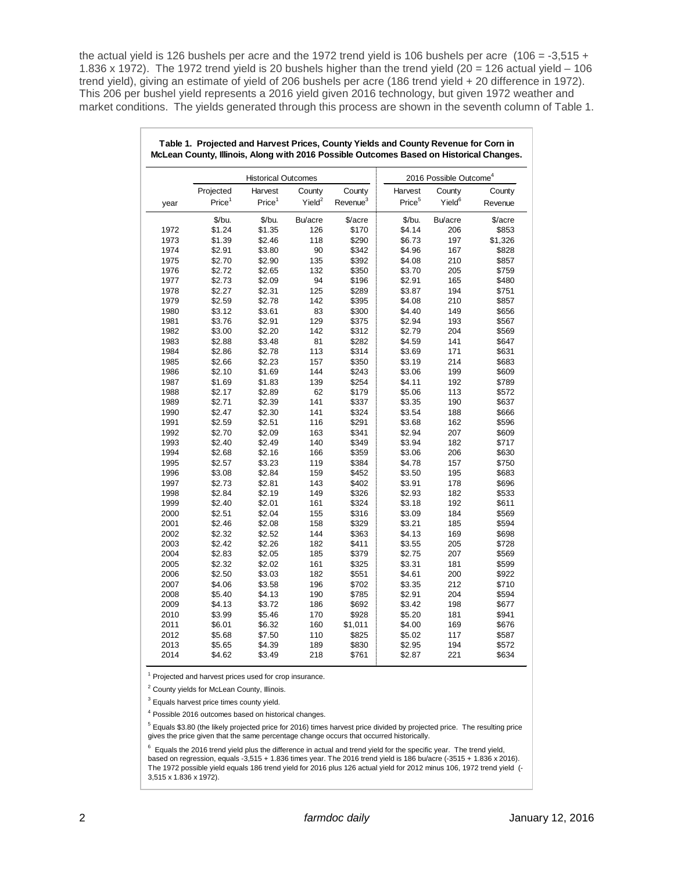the actual yield is 126 bushels per acre and the 1972 trend yield is 106 bushels per acre (106 = -3,515 + 1.836 x 1972). The 1972 trend yield is 20 bushels higher than the trend yield  $(20 = 126$  actual yield – 106 trend yield), giving an estimate of yield of 206 bushels per acre (186 trend yield + 20 difference in 1972). This 206 per bushel yield represents a 2016 yield given 2016 technology, but given 1972 weather and market conditions. The yields generated through this process are shown in the seventh column of Table 1.

| Table 1. Projected and Harvest Prices, County Yields and County Revenue for Corn in<br>McLean County, Illinois, Along with 2016 Possible Outcomes Based on Historical Changes. |                            |                    |                    |                      |                                    |                    |         |
|--------------------------------------------------------------------------------------------------------------------------------------------------------------------------------|----------------------------|--------------------|--------------------|----------------------|------------------------------------|--------------------|---------|
|                                                                                                                                                                                | <b>Historical Outcomes</b> |                    |                    |                      | 2016 Possible Outcome <sup>4</sup> |                    |         |
|                                                                                                                                                                                | Projected                  | Harvest            | County             | County               | Harvest                            | County             | County  |
| year                                                                                                                                                                           | Price <sup>1</sup>         | Price <sup>1</sup> | Yield <sup>2</sup> | Revenue <sup>3</sup> | Price <sup>5</sup>                 | Yield <sup>6</sup> | Revenue |
|                                                                                                                                                                                | \$/bu.                     | \$/bu.             | Bu/acre            | \$/acre              | \$/bu.                             | Bu/acre            | \$/acre |
| 1972                                                                                                                                                                           | \$1.24                     | \$1.35             | 126                | \$170                | \$4.14                             | 206                | \$853   |
| 1973                                                                                                                                                                           | \$1.39                     | \$2.46             | 118                | \$290                | \$6.73                             | 197                | \$1,326 |
| 1974                                                                                                                                                                           | \$2.91                     | \$3.80             | 90                 | \$342                | \$4.96                             | 167                | \$828   |
| 1975                                                                                                                                                                           | \$2.70                     | \$2.90             | 135                | \$392                | \$4.08                             | 210                | \$857   |
| 1976                                                                                                                                                                           | \$2.72                     | \$2.65             | 132                | \$350                | \$3.70                             | 205                | \$759   |
| 1977                                                                                                                                                                           | \$2.73                     | \$2.09             | 94                 | \$196                | \$2.91                             | 165                | \$480   |
| 1978                                                                                                                                                                           | \$2.27                     | \$2.31             | 125                | \$289                | \$3.87                             | 194                | \$751   |
| 1979                                                                                                                                                                           | \$2.59                     | \$2.78             | 142                | \$395                | \$4.08                             | 210                | \$857   |
| 1980                                                                                                                                                                           | \$3.12                     | \$3.61             | 83                 | \$300                | \$4.40                             | 149                | \$656   |
| 1981                                                                                                                                                                           | \$3.76                     | \$2.91             | 129                | \$375                | \$2.94                             | 193                | \$567   |
| 1982                                                                                                                                                                           | \$3.00                     | \$2.20             | 142                | \$312                | \$2.79                             | 204                | \$569   |
| 1983                                                                                                                                                                           | \$2.88                     | \$3.48             | 81                 | \$282                | \$4.59                             | 141                | \$647   |
| 1984                                                                                                                                                                           | \$2.86                     | \$2.78             | 113                | \$314                | \$3.69                             | 171                | \$631   |
| 1985                                                                                                                                                                           | \$2.66                     | \$2.23             | 157                | \$350                | \$3.19                             | 214                | \$683   |
| 1986                                                                                                                                                                           | \$2.10                     | \$1.69             | 144                | \$243                | \$3.06                             | 199                | \$609   |
| 1987                                                                                                                                                                           | \$1.69                     | \$1.83             | 139                | \$254                | \$4.11                             | 192                | \$789   |
| 1988                                                                                                                                                                           | \$2.17                     | \$2.89             | 62                 | \$179                | \$5.06                             | 113                | \$572   |
| 1989                                                                                                                                                                           | \$2.71                     | \$2.39             | 141                | \$337                | \$3.35                             | 190                | \$637   |
| 1990                                                                                                                                                                           | \$2.47                     | \$2.30             | 141                | \$324                | \$3.54                             | 188                | \$666   |
| 1991                                                                                                                                                                           | \$2.59                     | \$2.51             | 116                | \$291                | \$3.68                             | 162                | \$596   |
| 1992                                                                                                                                                                           | \$2.70                     | \$2.09             | 163                | \$341                | \$2.94                             | 207                | \$609   |
| 1993                                                                                                                                                                           | \$2.40                     | \$2.49             | 140                | \$349                | \$3.94                             | 182                | \$717   |
| 1994                                                                                                                                                                           | \$2.68                     | \$2.16             | 166                | \$359                | \$3.06                             | 206                | \$630   |
| 1995                                                                                                                                                                           | \$2.57                     | \$3.23             | 119                | \$384                | \$4.78                             | 157                | \$750   |
| 1996                                                                                                                                                                           | \$3.08                     | \$2.84             | 159                | \$452                | \$3.50                             | 195                | \$683   |
| 1997                                                                                                                                                                           | \$2.73                     | \$2.81             | 143                | \$402                | \$3.91                             | 178                | \$696   |
| 1998                                                                                                                                                                           | \$2.84                     | \$2.19             | 149                | \$326                | \$2.93                             | 182                | \$533   |
| 1999                                                                                                                                                                           | \$2.40                     | \$2.01             | 161                | \$324                | \$3.18                             | 192                | \$611   |
| 2000                                                                                                                                                                           | \$2.51                     | \$2.04             | 155                | \$316                | \$3.09                             | 184                | \$569   |
| 2001                                                                                                                                                                           | \$2.46                     | \$2.08             | 158                | \$329                | \$3.21                             | 185                | \$594   |
| 2002                                                                                                                                                                           | \$2.32                     | \$2.52             | 144                | \$363                | \$4.13                             | 169                | \$698   |
| 2003                                                                                                                                                                           | \$2.42                     | \$2.26             | 182                | \$411                | \$3.55                             | 205                | \$728   |
| 2004                                                                                                                                                                           | \$2.83                     | \$2.05             | 185                | \$379                | \$2.75                             | 207                | \$569   |
| 2005                                                                                                                                                                           | \$2.32                     | \$2.02             | 161                | \$325                | \$3.31                             | 181                | \$599   |
| 2006                                                                                                                                                                           | \$2.50                     | \$3.03             | 182                | \$551                | \$4.61                             | 200                | \$922   |
| 2007                                                                                                                                                                           | \$4.06                     | \$3.58             | 196                | \$702                | \$3.35                             | 212                | \$710   |
| 2008                                                                                                                                                                           | \$5.40                     | \$4.13             | 190                | \$785                | \$2.91                             | 204                | \$594   |
| 2009                                                                                                                                                                           | \$4.13                     | \$3.72             | 186                | \$692                | \$3.42                             | 198                | \$677   |
| 2010                                                                                                                                                                           | \$3.99                     | \$5.46             | 170                | \$928                | \$5.20                             | 181                | \$941   |
| 2011                                                                                                                                                                           | \$6.01                     | \$6.32             | 160                | \$1,011              | \$4.00                             | 169                | \$676   |
| 2012                                                                                                                                                                           | \$5.68                     | \$7.50             | 110                | \$825                | \$5.02                             | 117                | \$587   |
| 2013                                                                                                                                                                           | \$5.65                     | \$4.39             | 189                | \$830                | \$2.95                             | 194                | \$572   |
|                                                                                                                                                                                |                            |                    |                    |                      |                                    |                    |         |
| 2014                                                                                                                                                                           | \$4.62                     | \$3.49             | 218                | \$761                | \$2.87                             | 221                | \$634   |

<sup>1</sup> Projected and harvest prices used for crop insurance.

<sup>2</sup> County yields for McLean County, Illinois.

Equals harvest price times county yield.

<sup>4</sup> Possible 2016 outcomes based on historical changes.

<sup>5</sup> Equals \$3.80 (the likely projected price for 2016) times harvest price divided by projected price. The resulting price gives the price given that the same percentage change occurs that occurred historically.

<sup>6</sup> Equals the 2016 trend yield plus the difference in actual and trend yield for the specific year. The trend yield, based on regression, equals -3,515 + 1.836 times year. The 2016 trend yield is 186 bu/acre (-3515 + 1.836 x 2016). The 1972 possible yield equals 186 trend yield for 2016 plus 126 actual yield for 2012 minus 106, 1972 trend yield (- 3,515 x 1.836 x 1972).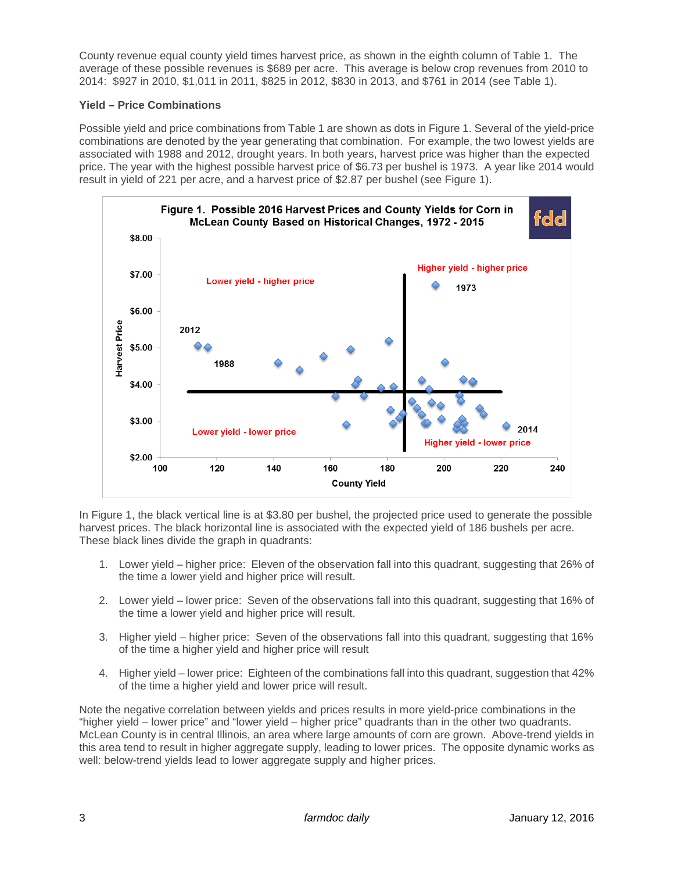County revenue equal county yield times harvest price, as shown in the eighth column of Table 1. The average of these possible revenues is \$689 per acre. This average is below crop revenues from 2010 to 2014: \$927 in 2010, \$1,011 in 2011, \$825 in 2012, \$830 in 2013, and \$761 in 2014 (see Table 1).

## **Yield – Price Combinations**

Possible yield and price combinations from Table 1 are shown as dots in Figure 1. Several of the yield-price combinations are denoted by the year generating that combination. For example, the two lowest yields are associated with 1988 and 2012, drought years. In both years, harvest price was higher than the expected price. The year with the highest possible harvest price of \$6.73 per bushel is 1973. A year like 2014 would result in yield of 221 per acre, and a harvest price of \$2.87 per bushel (see Figure 1).



In Figure 1, the black vertical line is at \$3.80 per bushel, the projected price used to generate the possible harvest prices. The black horizontal line is associated with the expected yield of 186 bushels per acre. These black lines divide the graph in quadrants:

- 1. Lower yield higher price: Eleven of the observation fall into this quadrant, suggesting that 26% of the time a lower yield and higher price will result.
- 2. Lower yield lower price: Seven of the observations fall into this quadrant, suggesting that 16% of the time a lower yield and higher price will result.
- 3. Higher yield higher price: Seven of the observations fall into this quadrant, suggesting that 16% of the time a higher yield and higher price will result
- 4. Higher yield lower price: Eighteen of the combinations fall into this quadrant, suggestion that 42% of the time a higher yield and lower price will result.

Note the negative correlation between yields and prices results in more yield-price combinations in the "higher yield – lower price" and "lower yield – higher price" quadrants than in the other two quadrants. McLean County is in central Illinois, an area where large amounts of corn are grown. Above-trend yields in this area tend to result in higher aggregate supply, leading to lower prices. The opposite dynamic works as well: below-trend yields lead to lower aggregate supply and higher prices.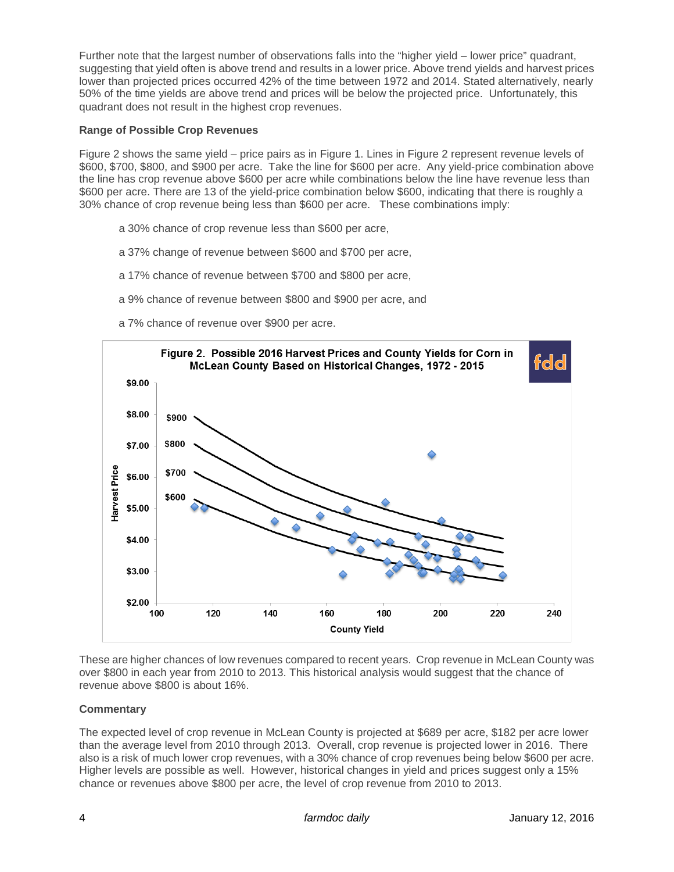Further note that the largest number of observations falls into the "higher yield – lower price" quadrant, suggesting that yield often is above trend and results in a lower price. Above trend yields and harvest prices lower than projected prices occurred 42% of the time between 1972 and 2014. Stated alternatively, nearly 50% of the time yields are above trend and prices will be below the projected price. Unfortunately, this quadrant does not result in the highest crop revenues.

### **Range of Possible Crop Revenues**

Figure 2 shows the same yield – price pairs as in Figure 1. Lines in Figure 2 represent revenue levels of \$600, \$700, \$800, and \$900 per acre. Take the line for \$600 per acre. Any yield-price combination above the line has crop revenue above \$600 per acre while combinations below the line have revenue less than \$600 per acre. There are 13 of the yield-price combination below \$600, indicating that there is roughly a 30% chance of crop revenue being less than \$600 per acre. These combinations imply:

- a 30% chance of crop revenue less than \$600 per acre,
- a 37% change of revenue between \$600 and \$700 per acre,
- a 17% chance of revenue between \$700 and \$800 per acre,
- a 9% chance of revenue between \$800 and \$900 per acre, and
- a 7% chance of revenue over \$900 per acre.



These are higher chances of low revenues compared to recent years. Crop revenue in McLean County was over \$800 in each year from 2010 to 2013. This historical analysis would suggest that the chance of revenue above \$800 is about 16%.

# **Commentary**

The expected level of crop revenue in McLean County is projected at \$689 per acre, \$182 per acre lower than the average level from 2010 through 2013. Overall, crop revenue is projected lower in 2016. There also is a risk of much lower crop revenues, with a 30% chance of crop revenues being below \$600 per acre. Higher levels are possible as well. However, historical changes in yield and prices suggest only a 15% chance or revenues above \$800 per acre, the level of crop revenue from 2010 to 2013.